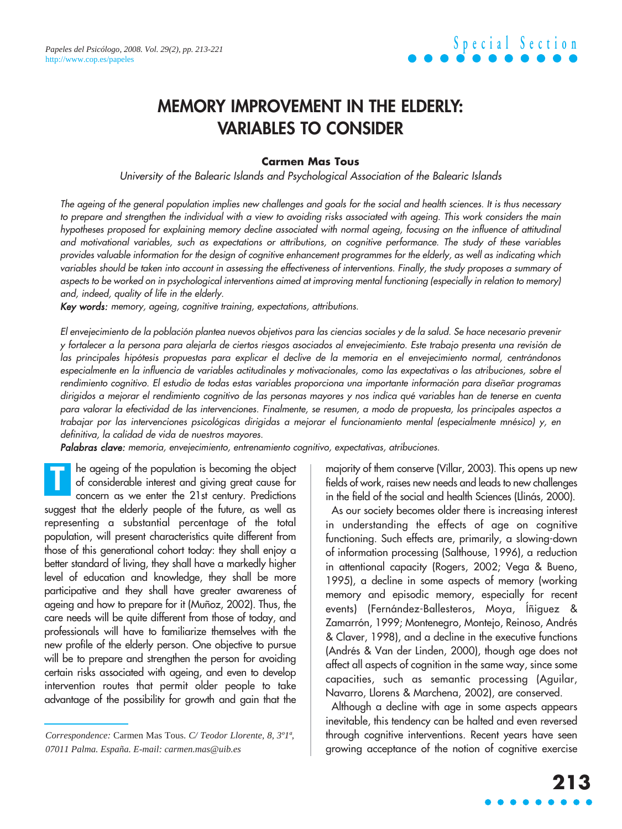# **MEMORY IMPROVEMENT IN THE ELDERLY: VARIABLES TO CONSIDER**

#### **Carmen Mas Tous**

University of the Balearic Islands and Psychological Association of the Balearic Islands

The ageing of the general population implies new challenges and goals for the social and health sciences. It is thus necessary to prepare and strengthen the individual with a view to avoiding risks associated with ageing. This work considers the main hypotheses proposed for explaining memory decline associated with normal ageing, focusing on the influence of attitudinal and motivational variables, such as expectations or attributions, on cognitive performance. The study of these variables provides valuable information for the design of cognitive enhancement programmes for the elderly, as well as indicating which variables should be taken into account in assessing the effectiveness of interventions. Finally, the study proposes a summary of aspects to be worked on in psychological interventions aimed at improving mental functioning (especially in relation to memory) and, indeed, quality of life in the elderly.

Key words: memory, ageing, cognitive training, expectations, attributions.

El envejecimiento de la población plantea nuevos objetivos para las ciencias sociales y de la salud. Se hace necesario prevenir <sup>y</sup>fortalecer a la persona para alejarla de ciertos riesgos asociados al envejecimiento. Este trabajo presenta una revisión de las principales hipótesis propuestas para explicar el declive de la memoria en el envejecimiento normal, centrándonos especialmente en la influencia de variables actitudinales y motivacionales, como las expectativas o las atribuciones, sobre el rendimiento cognitivo. El estudio de todas estas variables proporciona una importante información para diseñar programas dirigidos a mejorar el rendimiento cognitivo de las personas mayores y nos indica qué variables han de tenerse en cuenta para valorar la efectividad de las intervenciones. Finalmente, se resumen, a modo de propuesta, los principales aspectos a trabajar por las intervenciones psicológicas dirigidas a mejorar el funcionamiento mental (especialmente mnésico) y, en definitiva, la calidad de vida de nuestros mayores.

Palabras clave: memoria, envejecimiento, entrenamiento cognitivo, expectativas, atribuciones.

he ageing of the population is becoming the object of considerable interest and giving great cause for concern as we enter the 21st century. Predictions suggest that the elderly people of the future, as well as representing a substantial percentage of the total population, will present characteristics quite different from those of this generational cohort today: they shall enjoy a better standard of living, they shall have a markedly higher level of education and knowledge, they shall be more participative and they shall have greater awareness of ageing and how to prepare for it (Muñoz, 2002). Thus, the care needs will be quite different from those of today, and professionals will have to familiarize themselves with the new profile of the elderly person. One objective to pursue will be to prepare and strengthen the person for avoiding certain risks associated with ageing, and even to develop intervention routes that permit older people to take advantage of the possibility for growth and gain that the **T**

majority of them conserve (Villar, 2003). This opens up new fields of work, raises new needs and leads to new challenges in the field of the social and health Sciences (Llinás, 2000).

As our society becomes older there is increasing interest in understanding the effects of age on cognitive functioning. Such effects are, primarily, a slowing-down of information processing (Salthouse, 1996), a reduction in attentional capacity (Rogers, 2002; Vega & Bueno, 1995), a decline in some aspects of memory (working memory and episodic memory, especially for recent events) (Fernández-Ballesteros, Moya, Íñiguez & Zamarrón, 1999; Montenegro, Montejo, Reinoso, Andrés & Claver, 1998), and a decline in the executive functions (Andrés & Van der Linden, 2000), though age does not affect all aspects of cognition in the same way, since some capacities, such as semantic processing (Aguilar, Navarro, Llorens & Marchena, 2002), are conserved.

Although a decline with age in some aspects appears inevitable, this tendency can be halted and even reversed through cognitive interventions. Recent years have seen growing acceptance of the notion of cognitive exercise

*Correspondence:* Carmen Mas Tous. *C/ Teodor Llorente, 8, 3º1ª, 07011 Palma. España. E-mail: carmen.mas@uib.es*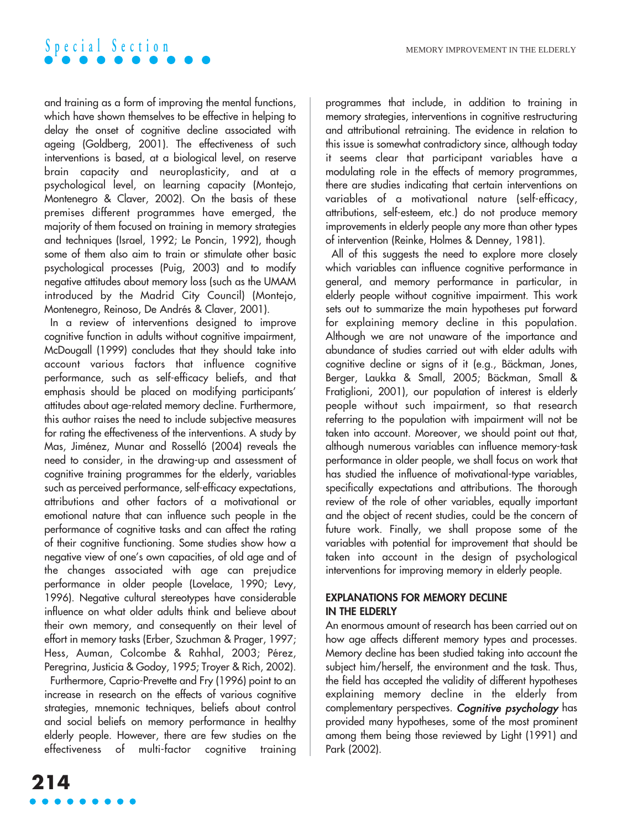and training as a form of improving the mental functions, which have shown themselves to be effective in helping to delay the onset of cognitive decline associated with ageing (Goldberg, 2001). The effectiveness of such interventions is based, at a biological level, on reserve brain capacity and neuroplasticity, and at a psychological level, on learning capacity (Montejo, Montenegro & Claver, 2002). On the basis of these premises different programmes have emerged, the majority of them focused on training in memory strategies and techniques (Israel, 1992; Le Poncin, 1992), though some of them also aim to train or stimulate other basic psychological processes (Puig, 2003) and to modify negative attitudes about memory loss (such as the UMAM introduced by the Madrid City Council) (Montejo, Montenegro, Reinoso, De Andrés & Claver, 2001).

In a review of interventions designed to improve cognitive function in adults without cognitive impairment, McDougall (1999) concludes that they should take into account various factors that influence cognitive performance, such as self-efficacy beliefs, and that emphasis should be placed on modifying participants' attitudes about age-related memory decline. Furthermore, this author raises the need to include subjective measures for rating the effectiveness of the interventions. A study by Mas, Jiménez, Munar and Rosselló (2004) reveals the need to consider, in the drawing-up and assessment of cognitive training programmes for the elderly, variables such as perceived performance, self-efficacy expectations, attributions and other factors of a motivational or emotional nature that can influence such people in the performance of cognitive tasks and can affect the rating of their cognitive functioning. Some studies show how a negative view of one's own capacities, of old age and of the changes associated with age can prejudice performance in older people (Lovelace, 1990; Levy, 1996). Negative cultural stereotypes have considerable influence on what older adults think and believe about their own memory, and consequently on their level of effort in memory tasks (Erber, Szuchman & Prager, 1997; Hess, Auman, Colcombe & Rahhal, 2003; Pérez, Peregrina, Justicia & Godoy, 1995; Troyer & Rich, 2002).

Furthermore, Caprio-Prevette and Fry (1996) point to an increase in research on the effects of various cognitive strategies, mnemonic techniques, beliefs about control and social beliefs on memory performance in healthy elderly people. However, there are few studies on the effectiveness of multi-factor cognitive training programmes that include, in addition to training in memory strategies, interventions in cognitive restructuring and attributional retraining. The evidence in relation to this issue is somewhat contradictory since, although today it seems clear that participant variables have a modulating role in the effects of memory programmes, there are studies indicating that certain interventions on variables of a motivational nature (self-efficacy, attributions, self-esteem, etc.) do not produce memory improvements in elderly people any more than other types of intervention (Reinke, Holmes & Denney, 1981).

All of this suggests the need to explore more closely which variables can influence cognitive performance in general, and memory performance in particular, in elderly people without cognitive impairment. This work sets out to summarize the main hypotheses put forward for explaining memory decline in this population. Although we are not unaware of the importance and abundance of studies carried out with elder adults with cognitive decline or signs of it (e.g., Bäckman, Jones, Berger, Laukka & Small, 2005; Bäckman, Small & Fratiglioni, 2001), our population of interest is elderly people without such impairment, so that research referring to the population with impairment will not be taken into account. Moreover, we should point out that, although numerous variables can influence memory-task performance in older people, we shall focus on work that has studied the influence of motivational-type variables, specifically expectations and attributions. The thorough review of the role of other variables, equally important and the object of recent studies, could be the concern of future work. Finally, we shall propose some of the variables with potential for improvement that should be taken into account in the design of psychological interventions for improving memory in elderly people.

### **EXPLANATIONS FOR MEMORY DECLINE IN THE ELDERLY**

An enormous amount of research has been carried out on how age affects different memory types and processes. Memory decline has been studied taking into account the subject him/herself, the environment and the task. Thus, the field has accepted the validity of different hypotheses explaining memory decline in the elderly from complementary perspectives. Cognitive psychology has provided many hypotheses, some of the most prominent among them being those reviewed by Light (1991) and Park (2002).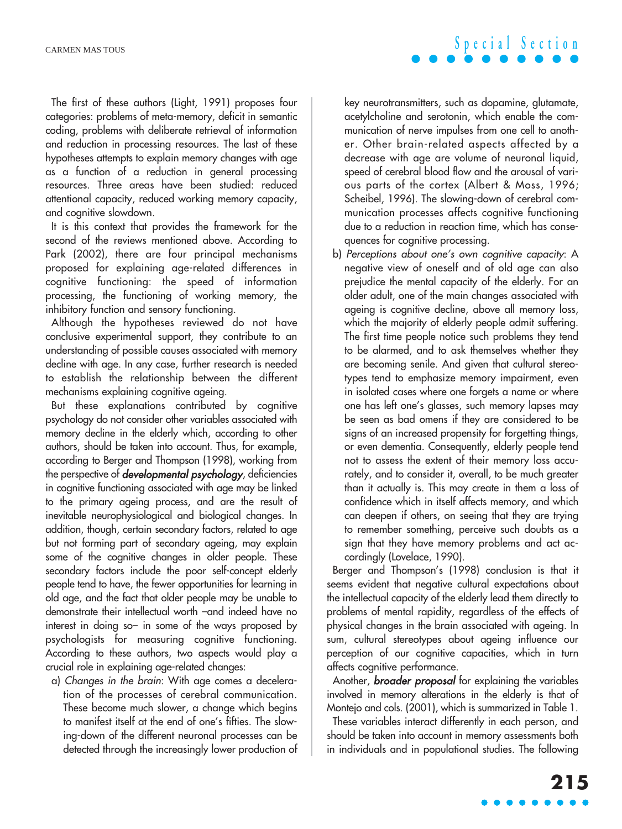The first of these authors (Light, 1991) proposes four categories: problems of meta-memory, deficit in semantic coding, problems with deliberate retrieval of information and reduction in processing resources. The last of these hypotheses attempts to explain memory changes with age as a function of a reduction in general processing resources. Three areas have been studied: reduced attentional capacity, reduced working memory capacity, and cognitive slowdown.

It is this context that provides the framework for the second of the reviews mentioned above. According to Park (2002), there are four principal mechanisms proposed for explaining age-related differences in cognitive functioning: the speed of information processing, the functioning of working memory, the inhibitory function and sensory functioning.

Although the hypotheses reviewed do not have conclusive experimental support, they contribute to an understanding of possible causes associated with memory decline with age. In any case, further research is needed to establish the relationship between the different mechanisms explaining cognitive ageing.

But these explanations contributed by cognitive psychology do not consider other variables associated with memory decline in the elderly which, according to other authors, should be taken into account. Thus, for example, according to Berger and Thompson (1998), working from the perspective of **developmental psychology**, deficiencies in cognitive functioning associated with age may be linked to the primary ageing process, and are the result of inevitable neurophysiological and biological changes. In addition, though, certain secondary factors, related to age but not forming part of secondary ageing, may explain some of the cognitive changes in older people. These secondary factors include the poor self-concept elderly people tend to have, the fewer opportunities for learning in old age, and the fact that older people may be unable to demonstrate their intellectual worth –and indeed have no interest in doing so– in some of the ways proposed by psychologists for measuring cognitive functioning. According to these authors, two aspects would play a crucial role in explaining age-related changes:

a) Changes in the brain: With age comes a deceleration of the processes of cerebral communication. These become much slower, a change which begins to manifest itself at the end of one's fifties. The slowing-down of the different neuronal processes can be detected through the increasingly lower production of key neurotransmitters, such as dopamine, glutamate, acetylcholine and serotonin, which enable the communication of nerve impulses from one cell to another. Other brain-related aspects affected by a decrease with age are volume of neuronal liquid, speed of cerebral blood flow and the arousal of various parts of the cortex (Albert & Moss, 1996; Scheibel, 1996). The slowing-down of cerebral communication processes affects cognitive functioning due to a reduction in reaction time, which has consequences for cognitive processing.

b) Perceptions about one's own cognitive capacity: A negative view of oneself and of old age can also prejudice the mental capacity of the elderly. For an older adult, one of the main changes associated with ageing is cognitive decline, above all memory loss, which the majority of elderly people admit suffering. The first time people notice such problems they tend to be alarmed, and to ask themselves whether they are becoming senile. And given that cultural stereotypes tend to emphasize memory impairment, even in isolated cases where one forgets a name or where one has left one's glasses, such memory lapses may be seen as bad omens if they are considered to be signs of an increased propensity for forgetting things, or even dementia. Consequently, elderly people tend not to assess the extent of their memory loss accurately, and to consider it, overall, to be much greater than it actually is. This may create in them a loss of confidence which in itself affects memory, and which can deepen if others, on seeing that they are trying to remember something, perceive such doubts as a sign that they have memory problems and act accordingly (Lovelace, 1990).

Berger and Thompson's (1998) conclusion is that it seems evident that negative cultural expectations about the intellectual capacity of the elderly lead them directly to problems of mental rapidity, regardless of the effects of physical changes in the brain associated with ageing. In sum, cultural stereotypes about ageing influence our perception of our cognitive capacities, which in turn affects cognitive performance.

Another, **broader proposal** for explaining the variables involved in memory alterations in the elderly is that of Montejo and cols. (2001), which is summarized in Table 1.

These variables interact differently in each person, and should be taken into account in memory assessments both in individuals and in populational studies. The following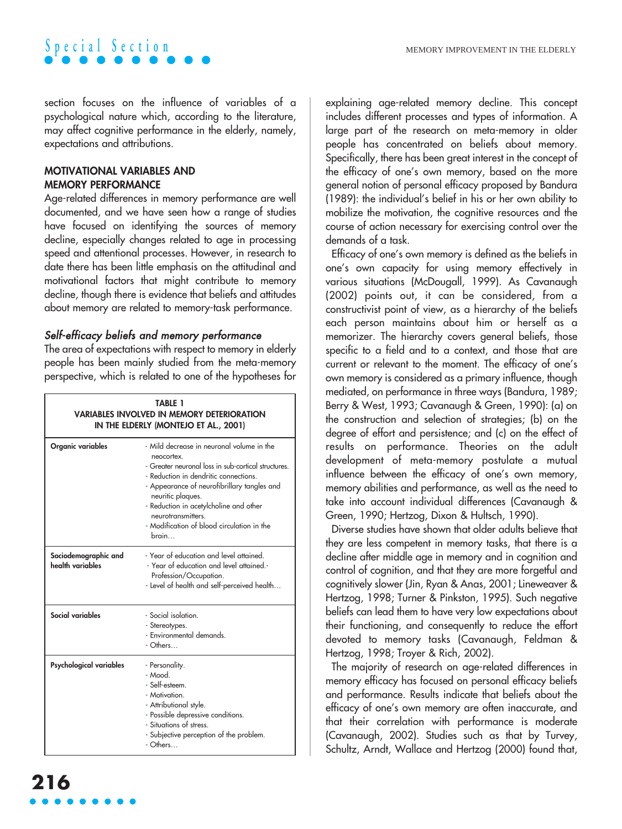section focuses on the influence of variables of a psychological nature which, according to the literature, may affect cognitive performance in the elderly, namely, expectations and attributions.

### **MOTIVATIONAL VARIABLES AND MEMORY PERFORMANCE**

Age-related differences in memory performance are well documented, and we have seen how a range of studies have focused on identifying the sources of memory decline, especially changes related to age in processing speed and attentional processes. However, in research to date there has been little emphasis on the attitudinal and motivational factors that might contribute to memory decline, though there is evidence that beliefs and attitudes about memory are related to memory-task performance.

## Self-efficacy beliefs and memory performance

The area of expectations with respect to memory in elderly people has been mainly studied from the meta-memory perspective, which is related to one of the hypotheses for

| TABLE 1<br><b>VARIABLES INVOLVED IN MEMORY DETERIORATION</b><br>IN THE ELDERLY (MONTEJO ET AL., 2001) |                                                                                                                                                                                                                                                                                                                                                    |
|-------------------------------------------------------------------------------------------------------|----------------------------------------------------------------------------------------------------------------------------------------------------------------------------------------------------------------------------------------------------------------------------------------------------------------------------------------------------|
| Organic variables                                                                                     | - Mild decrease in neuronal volume in the<br>neocortex.<br>- Greater neuronal loss in sub-cortical structures.<br>- Reduction in dendritic connections.<br>- Appearance of neurofibrillary tangles and<br>neuritic plaques.<br>- Reduction in acetylcholine and other<br>neurotransmitters.<br>- Modification of blood circulation in the<br>hrain |
| Sociodemographic and<br>health variables                                                              | - Year of education and level attained.<br>- Year of education and level attained.-<br>Profession/Occupation.<br>- Level of health and self-perceived health                                                                                                                                                                                       |
| Social variables                                                                                      | - Social isolation.<br>- Stereotypes.<br>- Environmental demands.<br>- Others                                                                                                                                                                                                                                                                      |
| Psychological variables                                                                               | - Personality.<br>- Mood.<br>- Self-esteem.<br>- Motivation.<br>- Attributional style.<br>- Possible depressive conditions.<br>- Situations of stress.<br>- Subjective perception of the problem.<br>- Others                                                                                                                                      |

explaining age-related memory decline. This concept includes different processes and types of information. A large part of the research on meta-memory in older people has concentrated on beliefs about memory. Specifically, there has been great interest in the concept of the efficacy of one's own memory, based on the more general notion of personal efficacy proposed by Bandura (1989): the individual's belief in his or her own ability to mobilize the motivation, the cognitive resources and the course of action necessary for exercising control over the demands of a task.

Efficacy of one's own memory is defined as the beliefs in one's own capacity for using memory effectively in various situations (McDougall, 1999). As Cavanaugh (2002) points out, it can be considered, from a constructivist point of view, as a hierarchy of the beliefs each person maintains about him or herself as a memorizer. The hierarchy covers general beliefs, those specific to a field and to a context, and those that are current or relevant to the moment. The efficacy of one's own memory is considered as a primary influence, though mediated, on performance in three ways (Bandura, 1989; Berry & West, 1993; Cavanaugh & Green, 1990): (a) on the construction and selection of strategies; (b) on the degree of effort and persistence; and (c) on the effect of results on performance. Theories on the adult development of meta-memory postulate a mutual influence between the efficacy of one's own memory, memory abilities and performance, as well as the need to take into account individual differences (Cavanaugh & Green, 1990; Hertzog, Dixon & Hultsch, 1990).

Diverse studies have shown that older adults believe that they are less competent in memory tasks, that there is a decline after middle age in memory and in cognition and control of cognition, and that they are more forgetful and cognitively slower (Jin, Ryan & Anas, 2001; Lineweaver & Hertzog, 1998; Turner & Pinkston, 1995). Such negative beliefs can lead them to have very low expectations about their functioning, and consequently to reduce the effort devoted to memory tasks (Cavanaugh, Feldman & Hertzog, 1998; Troyer & Rich, 2002).

The majority of research on age-related differences in memory efficacy has focused on personal efficacy beliefs and performance. Results indicate that beliefs about the efficacy of one's own memory are often inaccurate, and that their correlation with performance is moderate (Cavanaugh, 2002). Studies such as that by Turvey, Schultz, Arndt, Wallace and Hertzog (2000) found that,

Г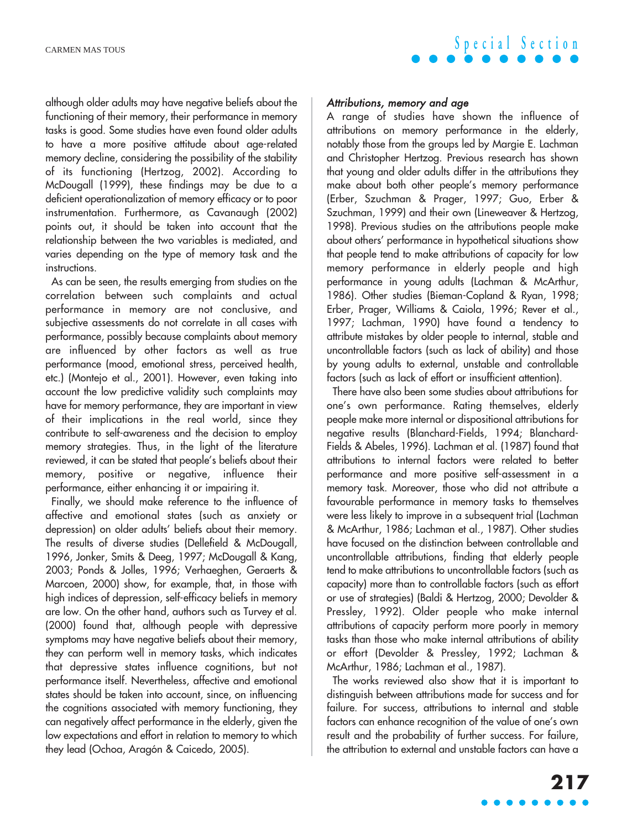although older adults may have negative beliefs about the functioning of their memory, their performance in memory tasks is good. Some studies have even found older adults to have a more positive attitude about age-related memory decline, considering the possibility of the stability of its functioning (Hertzog, 2002). According to McDougall (1999), these findings may be due to a deficient operationalization of memory efficacy or to poor instrumentation. Furthermore, as Cavanaugh (2002) points out, it should be taken into account that the relationship between the two variables is mediated, and varies depending on the type of memory task and the instructions.

As can be seen, the results emerging from studies on the correlation between such complaints and actual performance in memory are not conclusive, and subjective assessments do not correlate in all cases with performance, possibly because complaints about memory are influenced by other factors as well as true performance (mood, emotional stress, perceived health, etc.) (Montejo et al., 2001). However, even taking into account the low predictive validity such complaints may have for memory performance, they are important in view of their implications in the real world, since they contribute to self-awareness and the decision to employ memory strategies. Thus, in the light of the literature reviewed, it can be stated that people's beliefs about their memory, positive or negative, influence their performance, either enhancing it or impairing it.

Finally, we should make reference to the influence of affective and emotional states (such as anxiety or depression) on older adults' beliefs about their memory. The results of diverse studies (Dellefield & McDougall, 1996, Jonker, Smits & Deeg, 1997; McDougall & Kang, 2003; Ponds & Jolles, 1996; Verhaeghen, Geraerts & Marcoen, 2000) show, for example, that, in those with high indices of depression, self-efficacy beliefs in memory are low. On the other hand, authors such as Turvey et al. (2000) found that, although people with depressive symptoms may have negative beliefs about their memory, they can perform well in memory tasks, which indicates that depressive states influence cognitions, but not performance itself. Nevertheless, affective and emotional states should be taken into account, since, on influencing the cognitions associated with memory functioning, they can negatively affect performance in the elderly, given the low expectations and effort in relation to memory to which they lead (Ochoa, Aragón & Caicedo, 2005).

# **Special Section**

#### Attributions, memory and age

A range of studies have shown the influence of attributions on memory performance in the elderly, notably those from the groups led by Margie E. Lachman and Christopher Hertzog. Previous research has shown that young and older adults differ in the attributions they make about both other people's memory performance (Erber, Szuchman & Prager, 1997; Guo, Erber & Szuchman, 1999) and their own (Lineweaver & Hertzog, 1998). Previous studies on the attributions people make about others' performance in hypothetical situations show that people tend to make attributions of capacity for low memory performance in elderly people and high performance in young adults (Lachman & McArthur, 1986). Other studies (Bieman-Copland & Ryan, 1998; Erber, Prager, Williams & Caiola, 1996; Rever et al., 1997; Lachman, 1990) have found a tendency to attribute mistakes by older people to internal, stable and uncontrollable factors (such as lack of ability) and those by young adults to external, unstable and controllable factors (such as lack of effort or insufficient attention).

There have also been some studies about attributions for one's own performance. Rating themselves, elderly people make more internal or dispositional attributions for negative results (Blanchard-Fields, 1994; Blanchard-Fields & Abeles, 1996). Lachman et al. (1987) found that attributions to internal factors were related to better performance and more positive self-assessment in a memory task. Moreover, those who did not attribute a favourable performance in memory tasks to themselves were less likely to improve in a subsequent trial (Lachman & McArthur, 1986; Lachman et al., 1987). Other studies have focused on the distinction between controllable and uncontrollable attributions, finding that elderly people tend to make attributions to uncontrollable factors (such as capacity) more than to controllable factors (such as effort or use of strategies) (Baldi & Hertzog, 2000; Devolder & Pressley, 1992). Older people who make internal attributions of capacity perform more poorly in memory tasks than those who make internal attributions of ability or effort (Devolder & Pressley, 1992; Lachman & McArthur, 1986; Lachman et al., 1987).

The works reviewed also show that it is important to distinguish between attributions made for success and for failure. For success, attributions to internal and stable factors can enhance recognition of the value of one's own result and the probability of further success. For failure, the attribution to external and unstable factors can have a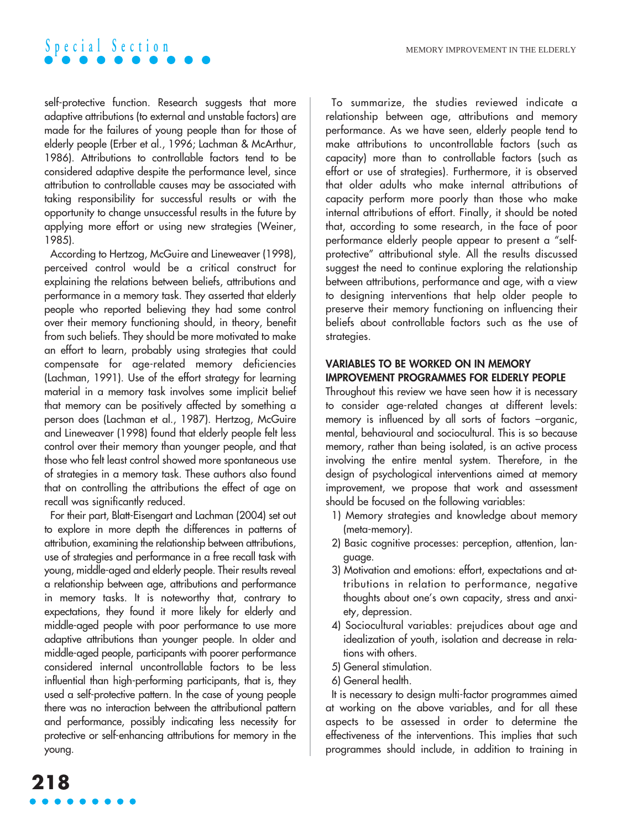

self-protective function. Research suggests that more adaptive attributions (to external and unstable factors) are made for the failures of young people than for those of elderly people (Erber et al., 1996; Lachman & McArthur, 1986). Attributions to controllable factors tend to be considered adaptive despite the performance level, since attribution to controllable causes may be associated with taking responsibility for successful results or with the opportunity to change unsuccessful results in the future by applying more effort or using new strategies (Weiner, 1985).

According to Hertzog, McGuire and Lineweaver (1998), perceived control would be a critical construct for explaining the relations between beliefs, attributions and performance in a memory task. They asserted that elderly people who reported believing they had some control over their memory functioning should, in theory, benefit from such beliefs. They should be more motivated to make an effort to learn, probably using strategies that could compensate for age-related memory deficiencies (Lachman, 1991). Use of the effort strategy for learning material in a memory task involves some implicit belief that memory can be positively affected by something a person does (Lachman et al., 1987). Hertzog, McGuire and Lineweaver (1998) found that elderly people felt less control over their memory than younger people, and that those who felt least control showed more spontaneous use of strategies in a memory task. These authors also found that on controlling the attributions the effect of age on recall was significantly reduced.

For their part, Blatt-Eisengart and Lachman (2004) set out to explore in more depth the differences in patterns of attribution, examining the relationship between attributions, use of strategies and performance in a free recall task with young, middle-aged and elderly people. Their results reveal a relationship between age, attributions and performance in memory tasks. It is noteworthy that, contrary to expectations, they found it more likely for elderly and middle-aged people with poor performance to use more adaptive attributions than younger people. In older and middle-aged people, participants with poorer performance considered internal uncontrollable factors to be less influential than high-performing participants, that is, they used a self-protective pattern. In the case of young people there was no interaction between the attributional pattern and performance, possibly indicating less necessity for protective or self-enhancing attributions for memory in the young.

To summarize, the studies reviewed indicate a relationship between age, attributions and memory performance. As we have seen, elderly people tend to make attributions to uncontrollable factors (such as capacity) more than to controllable factors (such as effort or use of strategies). Furthermore, it is observed that older adults who make internal attributions of capacity perform more poorly than those who make internal attributions of effort. Finally, it should be noted that, according to some research, in the face of poor performance elderly people appear to present a "selfprotective" attributional style. All the results discussed suggest the need to continue exploring the relationship between attributions, performance and age, with a view to designing interventions that help older people to preserve their memory functioning on influencing their beliefs about controllable factors such as the use of strategies.

#### **VARIABLES TO BE WORKED ON IN MEMORY IMPROVEMENT PROGRAMMES FOR ELDERLY PEOPLE**

Throughout this review we have seen how it is necessary to consider age-related changes at different levels: memory is influenced by all sorts of factors –organic, mental, behavioural and sociocultural. This is so because memory, rather than being isolated, is an active process involving the entire mental system. Therefore, in the design of psychological interventions aimed at memory improvement, we propose that work and assessment should be focused on the following variables:

- 1) Memory strategies and knowledge about memory (meta-memory).
- 2) Basic cognitive processes: perception, attention, language.
- 3) Motivation and emotions: effort, expectations and attributions in relation to performance, negative thoughts about one's own capacity, stress and anxiety, depression.
- 4) Sociocultural variables: prejudices about age and idealization of youth, isolation and decrease in relations with others.
- 5) General stimulation.
- 6) General health.

It is necessary to design multi-factor programmes aimed at working on the above variables, and for all these aspects to be assessed in order to determine the effectiveness of the interventions. This implies that such programmes should include, in addition to training in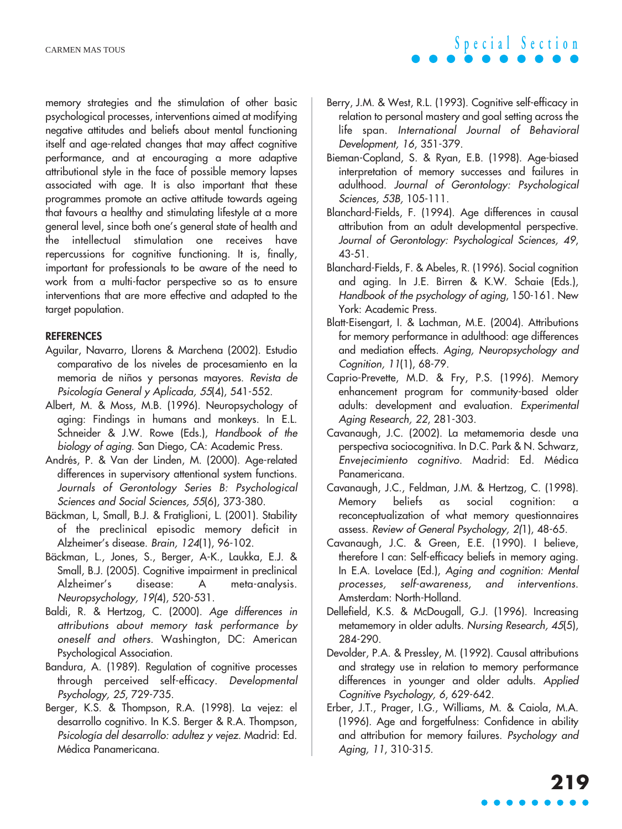memory strategies and the stimulation of other basic psychological processes, interventions aimed at modifying negative attitudes and beliefs about mental functioning itself and age-related changes that may affect cognitive performance, and at encouraging a more adaptive attributional style in the face of possible memory lapses associated with age. It is also important that these programmes promote an active attitude towards ageing that favours a healthy and stimulating lifestyle at a more general level, since both one's general state of health and the intellectual stimulation one receives have repercussions for cognitive functioning. It is, finally, important for professionals to be aware of the need to work from a multi-factor perspective so as to ensure interventions that are more effective and adapted to the target population.

#### **REFERENCES**

- Aguilar, Navarro, Llorens & Marchena (2002). Estudio comparativo de los niveles de procesamiento en la memoria de niños y personas mayores. Revista de Psicología General y Aplicada, 55(4), 541-552.
- Albert, M. & Moss, M.B. (1996). Neuropsychology of aging: Findings in humans and monkeys. In E.L. Schneider & J.W. Rowe (Eds.), Handbook of the biology of aging. San Diego, CA: Academic Press.
- Andrés, P. & Van der Linden, M. (2000). Age-related differences in supervisory attentional system functions. Journals of Gerontology Series B: Psychological Sciences and Social Sciences, 55(6), 373-380.
- Bäckman, L, Small, B.J. & Fratiglioni, L. (2001). Stability of the preclinical episodic memory deficit in Alzheimer's disease. Brain, 124(1), 96-102.
- Bäckman, L., Jones, S., Berger, A-K., Laukka, E.J. & Small, B.J. (2005). Cognitive impairment in preclinical Alzheimer's disease: A meta-analysis. Neuropsychology, 19(4), 520-531.
- Baldi, R. & Hertzog, C. (2000). Age differences in attributions about memory task performance by oneself and others. Washington, DC: American Psychological Association.
- Bandura, A. (1989). Regulation of cognitive processes through perceived self-efficacy. Developmental Psychology, 25, 729-735.
- Berger, K.S. & Thompson, R.A. (1998). La vejez: el desarrollo cognitivo. In K.S. Berger & R.A. Thompson, Psicología del desarrollo: adultez y vejez. Madrid: Ed. Médica Panamericana.

Berry, J.M. & West, R.L. (1993). Cognitive self-efficacy in relation to personal mastery and goal setting across the life span. International Journal of Behavioral Development, 16, 351-379.

**Special Section**

- Bieman-Copland, S. & Ryan, E.B. (1998). Age-biased interpretation of memory successes and failures in adulthood. Journal of Gerontology: Psychological Sciences, 53B, 105-111.
- Blanchard-Fields, F. (1994). Age differences in causal attribution from an adult developmental perspective. Journal of Gerontology: Psychological Sciences, 49, 43-51.
- Blanchard-Fields, F. & Abeles, R. (1996). Social cognition and aging. In J.E. Birren & K.W. Schaie (Eds.), Handbook of the psychology of aging, 150-161. New York: Academic Press.
- Blatt-Eisengart, I. & Lachman, M.E. (2004). Attributions for memory performance in adulthood: age differences and mediation effects. Aging, Neuropsychology and Cognition, 11(1), 68-79.
- Caprio-Prevette, M.D. & Fry, P.S. (1996). Memory enhancement program for community-based older adults: development and evaluation. Experimental Aging Research, 22, 281-303.
- Cavanaugh, J.C. (2002). La metamemoria desde una perspectiva sociocognitiva. In D.C. Park & N. Schwarz, Envejecimiento cognitivo. Madrid: Ed. Médica Panamericana.
- Cavanaugh, J.C., Feldman, J.M. & Hertzog, C. (1998). Memory beliefs as social cognition: a reconceptualization of what memory questionnaires assess. Review of General Psychology, 2(1), 48-65.
- Cavanaugh, J.C. & Green, E.E. (1990). I believe, therefore I can: Self-efficacy beliefs in memory aging. In E.A. Lovelace (Ed.), Aging and cognition: Mental processes, self-awareness, and interventions. Amsterdam: North-Holland.
- Dellefield, K.S. & McDougall, G.J. (1996). Increasing metamemory in older adults. Nursing Research, 45(5), 284-290.
- Devolder, P.A. & Pressley, M. (1992). Causal attributions and strategy use in relation to memory performance differences in younger and older adults. Applied Cognitive Psychology, 6, 629-642.
- Erber, J.T., Prager, I.G., Williams, M. & Caiola, M.A. (1996). Age and forgetfulness: Confidence in ability and attribution for memory failures. Psychology and Aging, 11, 310-315.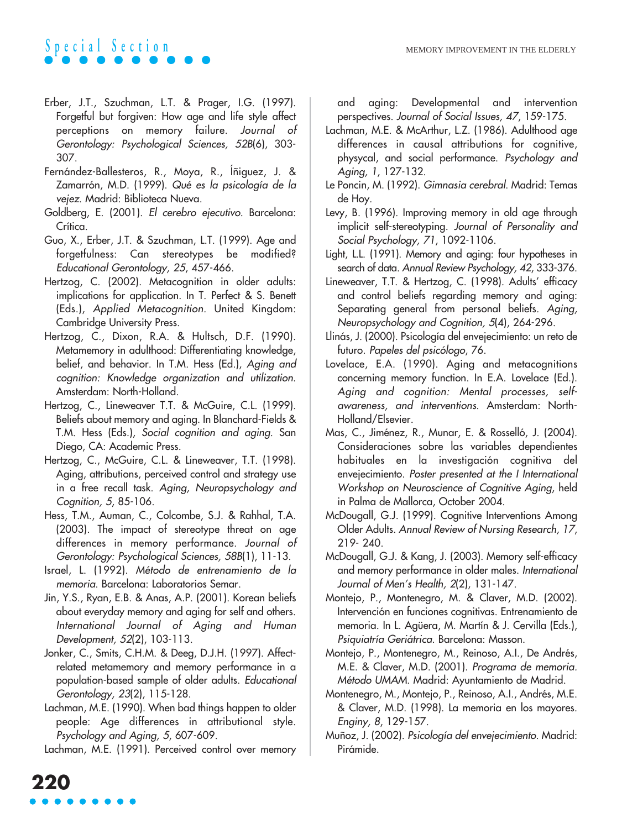- Erber, J.T., Szuchman, L.T. & Prager, I.G. (1997). Forgetful but forgiven: How age and life style affect perceptions on memory failure. Journal of Gerontology: Psychological Sciences, 52B(6), 303- 307.
- Fernández-Ballesteros, R., Moya, R., Íñiguez, J. & Zamarrón, M.D. (1999). Qué es la psicología de la vejez. Madrid: Biblioteca Nueva.
- Goldberg, E. (2001). El cerebro ejecutivo. Barcelona: Crítica.
- Guo, X., Erber, J.T. & Szuchman, L.T. (1999). Age and forgetfulness: Can stereotypes be modified? Educational Gerontology, 25, 457-466.
- Hertzog, C. (2002). Metacognition in older adults: implications for application. In T. Perfect & S. Benett (Eds.), Applied Metacognition. United Kingdom: Cambridge University Press.
- Hertzog, C., Dixon, R.A. & Hultsch, D.F. (1990). Metamemory in adulthood: Differentiating knowledge, belief, and behavior. In T.M. Hess (Ed.), Aging and cognition: Knowledge organization and utilization. Amsterdam: North-Holland.
- Hertzog, C., Lineweaver T.T. & McGuire, C.L. (1999). Beliefs about memory and aging. In Blanchard-Fields & T.M. Hess (Eds.), Social cognition and aging. San Diego, CA: Academic Press.
- Hertzog, C., McGuire, C.L. & Lineweaver, T.T. (1998). Aging, attributions, perceived control and strategy use in a free recall task. Aging, Neuropsychology and Cognition, 5, 85-106.
- Hess, T.M., Auman, C., Colcombe, S.J. & Rahhal, T.A. (2003). The impact of stereotype threat on age differences in memory performance. Journal of Gerontology: Psychological Sciences, 58B(1), 11-13.
- Israel, L. (1992). Método de entrenamiento de la memoria. Barcelona: Laboratorios Semar.
- Jin, Y.S., Ryan, E.B. & Anas, A.P. (2001). Korean beliefs about everyday memory and aging for self and others. International Journal of Aging and Human Development, 52(2), 103-113.
- Jonker, C., Smits, C.H.M. & Deeg, D.J.H. (1997). Affectrelated metamemory and memory performance in a population-based sample of older adults. Educational Gerontology, 23(2), 115-128.
- Lachman, M.E. (1990). When bad things happen to older people: Age differences in attributional style. Psychology and Aging, 5, 607-609.

Lachman, M.E. (1991). Perceived control over memory

and aging: Developmental and intervention perspectives. Journal of Social Issues, 47, 159-175.

- Lachman, M.E. & McArthur, L.Z. (1986). Adulthood age differences in causal attributions for cognitive, physycal, and social performance. Psychology and Aging, 1, 127-132.
- Le Poncin, M. (1992). Gimnasia cerebral. Madrid: Temas de Hoy.
- Levy, B. (1996). Improving memory in old age through implicit self-stereotyping. Journal of Personality and Social Psychology, 71, 1092-1106.
- Light, L.L. (1991). Memory and aging: four hypotheses in search of data. Annual Review Psychology, 42, 333-376.
- Lineweaver, T.T. & Hertzog, C. (1998). Adults' efficacy and control beliefs regarding memory and aging: Separating general from personal beliefs. Aging, Neuropsychology and Cognition, 5(4), 264-296.
- Llinás, J. (2000). Psicología del envejecimiento: un reto de futuro. Papeles del psicólogo, 76.
- Lovelace, E.A. (1990). Aging and metacognitions concerning memory function. In E.A. Lovelace (Ed.). Aging and cognition: Mental processes, selfawareness, and interventions. Amsterdam: North-Holland/Elsevier.
- Mas, C., Jiménez, R., Munar, E. & Rosselló, J. (2004). Consideraciones sobre las variables dependientes habituales en la investigación cognitiva del envejecimiento. Poster presented at the I International Workshop on Neuroscience of Cognitive Aging, held in Palma de Mallorca, October 2004.
- McDougall, G.J. (1999). Cognitive Interventions Among Older Adults. Annual Review of Nursing Research, 17, 219- 240.
- McDougall, G.J. & Kang, J. (2003). Memory self-efficacy and memory performance in older males. International Journal of Men's Health, 2(2), 131-147.
- Montejo, P., Montenegro, M. & Claver, M.D. (2002). Intervención en funciones cognitivas. Entrenamiento de memoria. In L. Agüera, M. Martín & J. Cervilla (Eds.), Psiquiatría Geriátrica. Barcelona: Masson.
- Montejo, P., Montenegro, M., Reinoso, A.I., De Andrés, M.E. & Claver, M.D. (2001). Programa de memoria. Método UMAM. Madrid: Ayuntamiento de Madrid.
- Montenegro, M., Montejo, P., Reinoso, A.I., Andrés, M.E. & Claver, M.D. (1998). La memoria en los mayores. Enginy, 8, 129-157.
- Muñoz, J. (2002). Psicología del envejecimiento. Madrid: Pirámide.